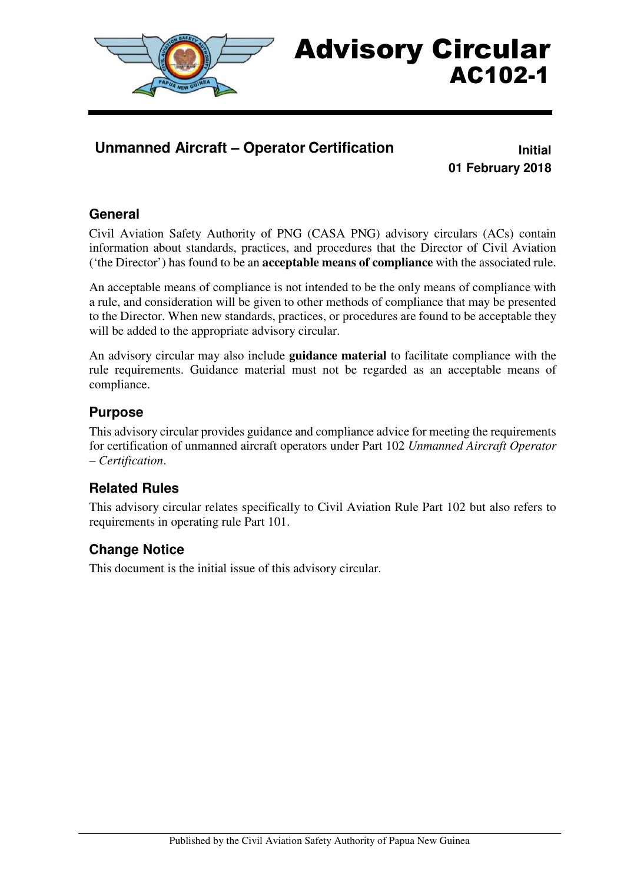

# Advisory Circular AC102-1

## **Unmanned Aircraft – Operator Certification** *Initial*

**01 February 2018** 

#### **General**

Civil Aviation Safety Authority of PNG (CASA PNG) advisory circulars (ACs) contain information about standards, practices, and procedures that the Director of Civil Aviation ('the Director') has found to be an **acceptable means of compliance** with the associated rule.

An acceptable means of compliance is not intended to be the only means of compliance with a rule, and consideration will be given to other methods of compliance that may be presented to the Director. When new standards, practices, or procedures are found to be acceptable they will be added to the appropriate advisory circular.

An advisory circular may also include **guidance material** to facilitate compliance with the rule requirements. Guidance material must not be regarded as an acceptable means of compliance.

#### **Purpose**

This advisory circular provides guidance and compliance advice for meeting the requirements for certification of unmanned aircraft operators under Part 102 *Unmanned Aircraft Operator – Certification*.

## **Related Rules**

This advisory circular relates specifically to Civil Aviation Rule Part 102 but also refers to requirements in operating rule Part 101.

#### **Change Notice**

This document is the initial issue of this advisory circular.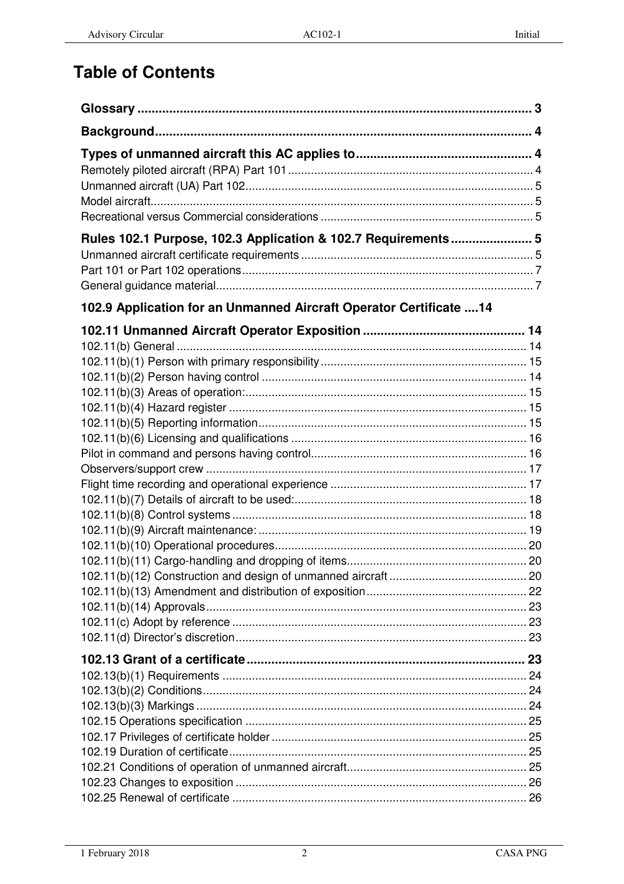# **Table of Contents**

| Rules 102.1 Purpose, 102.3 Application & 102.7 Requirements 5       |  |
|---------------------------------------------------------------------|--|
| 102.9 Application for an Unmanned Aircraft Operator Certificate  14 |  |
|                                                                     |  |
|                                                                     |  |
|                                                                     |  |
|                                                                     |  |
|                                                                     |  |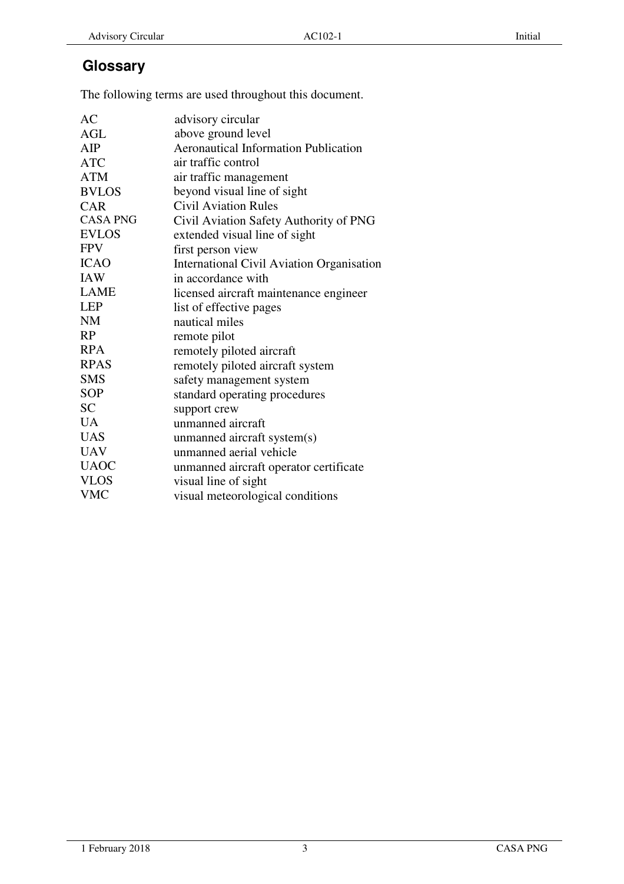## **Glossary**

The following terms are used throughout this document.

| AC              | advisory circular                           |
|-----------------|---------------------------------------------|
| <b>AGL</b>      | above ground level                          |
| AIP             | <b>Aeronautical Information Publication</b> |
| <b>ATC</b>      | air traffic control                         |
| <b>ATM</b>      | air traffic management                      |
| <b>BVLOS</b>    | beyond visual line of sight                 |
| <b>CAR</b>      | <b>Civil Aviation Rules</b>                 |
| <b>CASA PNG</b> | Civil Aviation Safety Authority of PNG      |
| <b>EVLOS</b>    | extended visual line of sight               |
| <b>FPV</b>      | first person view                           |
| <b>ICAO</b>     | International Civil Aviation Organisation   |
| <b>IAW</b>      | in accordance with                          |
| <b>LAME</b>     | licensed aircraft maintenance engineer      |
| <b>LEP</b>      | list of effective pages                     |
| <b>NM</b>       | nautical miles                              |
| <b>RP</b>       | remote pilot                                |
| <b>RPA</b>      | remotely piloted aircraft                   |
| <b>RPAS</b>     | remotely piloted aircraft system            |
| <b>SMS</b>      | safety management system                    |
| <b>SOP</b>      | standard operating procedures               |
| <b>SC</b>       | support crew                                |
| <b>UA</b>       | unmanned aircraft                           |
| <b>UAS</b>      | unmanned aircraft system(s)                 |
| <b>UAV</b>      | unmanned aerial vehicle                     |
| <b>UAOC</b>     | unmanned aircraft operator certificate      |
| <b>VLOS</b>     | visual line of sight                        |
| <b>VMC</b>      | visual meteorological conditions            |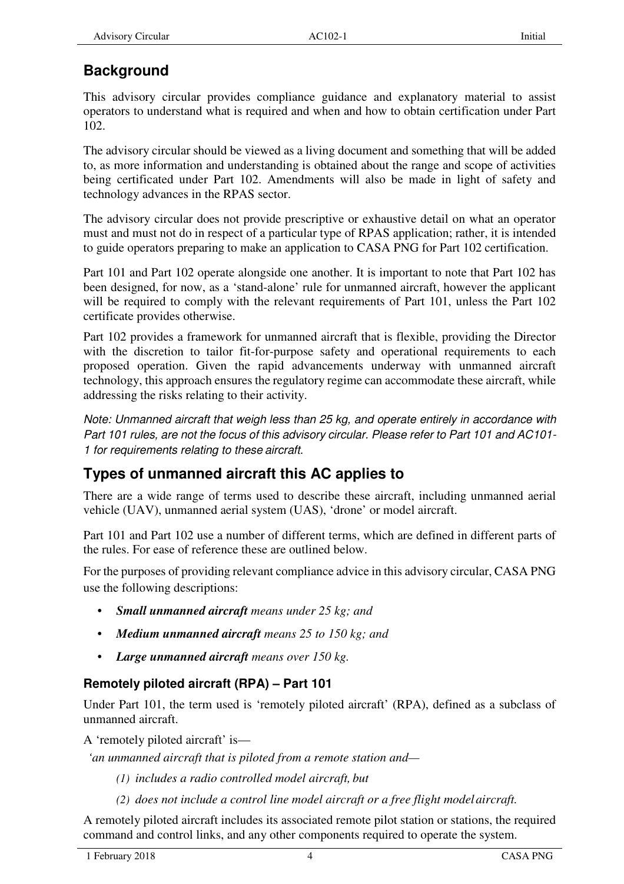## **Background**

This advisory circular provides compliance guidance and explanatory material to assist operators to understand what is required and when and how to obtain certification under Part 102.

The advisory circular should be viewed as a living document and something that will be added to, as more information and understanding is obtained about the range and scope of activities being certificated under Part 102. Amendments will also be made in light of safety and technology advances in the RPAS sector.

The advisory circular does not provide prescriptive or exhaustive detail on what an operator must and must not do in respect of a particular type of RPAS application; rather, it is intended to guide operators preparing to make an application to CASA PNG for Part 102 certification.

Part 101 and Part 102 operate alongside one another. It is important to note that Part 102 has been designed, for now, as a 'stand-alone' rule for unmanned aircraft, however the applicant will be required to comply with the relevant requirements of Part 101, unless the Part 102 certificate provides otherwise.

Part 102 provides a framework for unmanned aircraft that is flexible, providing the Director with the discretion to tailor fit-for-purpose safety and operational requirements to each proposed operation. Given the rapid advancements underway with unmanned aircraft technology, this approach ensures the regulatory regime can accommodate these aircraft, while addressing the risks relating to their activity.

Note: Unmanned aircraft that weigh less than 25 kg, and operate entirely in accordance with Part 101 rules, are not the focus of this advisory circular. Please refer to Part 101 and AC101- 1 for requirements relating to these aircraft.

## **Types of unmanned aircraft this AC applies to**

There are a wide range of terms used to describe these aircraft, including unmanned aerial vehicle (UAV), unmanned aerial system (UAS), 'drone' or model aircraft.

Part 101 and Part 102 use a number of different terms, which are defined in different parts of the rules. For ease of reference these are outlined below.

For the purposes of providing relevant compliance advice in this advisory circular, CASA PNG use the following descriptions:

- *Small unmanned aircraft means under 25 kg; and*
- *Medium unmanned aircraft means 25 to 150 kg; and*
- *Large unmanned aircraft means over 150 kg.*

## **Remotely piloted aircraft (RPA) – Part 101**

Under Part 101, the term used is 'remotely piloted aircraft' (RPA), defined as a subclass of unmanned aircraft.

A 'remotely piloted aircraft' is—

*'an unmanned aircraft that is piloted from a remote station and—* 

- *(1) includes a radio controlled model aircraft, but*
- *(2) does not include a control line model aircraft or a free flight model aircraft.*

A remotely piloted aircraft includes its associated remote pilot station or stations, the required command and control links, and any other components required to operate the system.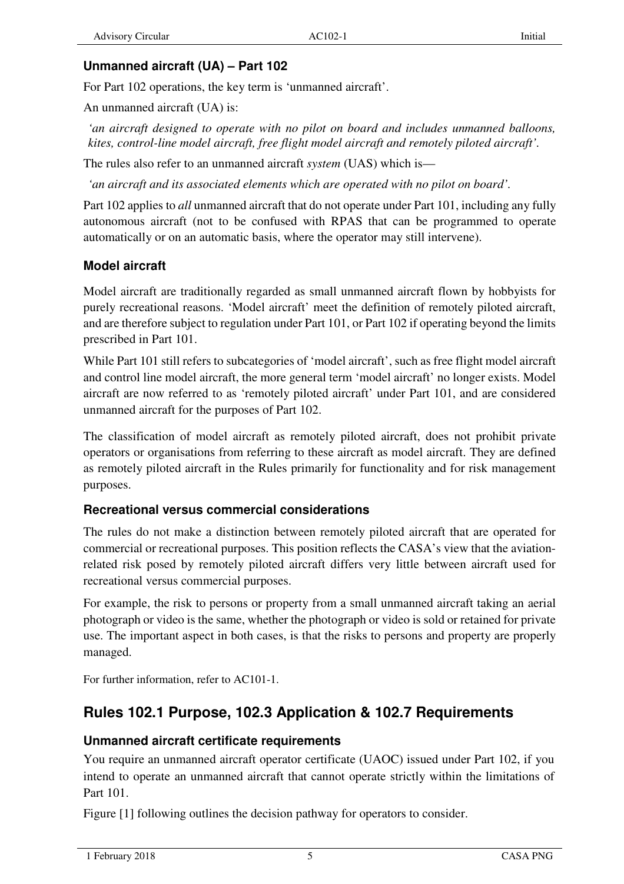### **Unmanned aircraft (UA) – Part 102**

For Part 102 operations, the key term is 'unmanned aircraft'.

An unmanned aircraft (UA) is:

*'an aircraft designed to operate with no pilot on board and includes unmanned balloons, kites, control-line model aircraft, free flight model aircraft and remotely piloted aircraft'.* 

The rules also refer to an unmanned aircraft *system* (UAS) which is—

*'an aircraft and its associated elements which are operated with no pilot on board'.* 

Part 102 applies to *all* unmanned aircraft that do not operate under Part 101, including any fully autonomous aircraft (not to be confused with RPAS that can be programmed to operate automatically or on an automatic basis, where the operator may still intervene).

### **Model aircraft**

Model aircraft are traditionally regarded as small unmanned aircraft flown by hobbyists for purely recreational reasons. 'Model aircraft' meet the definition of remotely piloted aircraft, and are therefore subject to regulation under Part 101, or Part 102 if operating beyond the limits prescribed in Part 101.

While Part 101 still refers to subcategories of 'model aircraft', such as free flight model aircraft and control line model aircraft, the more general term 'model aircraft' no longer exists. Model aircraft are now referred to as 'remotely piloted aircraft' under Part 101, and are considered unmanned aircraft for the purposes of Part 102.

The classification of model aircraft as remotely piloted aircraft, does not prohibit private operators or organisations from referring to these aircraft as model aircraft. They are defined as remotely piloted aircraft in the Rules primarily for functionality and for risk management purposes.

## **Recreational versus commercial considerations**

The rules do not make a distinction between remotely piloted aircraft that are operated for commercial or recreational purposes. This position reflects the CASA's view that the aviationrelated risk posed by remotely piloted aircraft differs very little between aircraft used for recreational versus commercial purposes.

For example, the risk to persons or property from a small unmanned aircraft taking an aerial photograph or video is the same, whether the photograph or video is sold or retained for private use. The important aspect in both cases, is that the risks to persons and property are properly managed.

For further information, refer to AC101-1.

## **Rules 102.1 Purpose, 102.3 Application & 102.7 Requirements**

## **Unmanned aircraft certificate requirements**

You require an unmanned aircraft operator certificate (UAOC) issued under Part 102, if you intend to operate an unmanned aircraft that cannot operate strictly within the limitations of Part 101.

Figure [1] following outlines the decision pathway for operators to consider.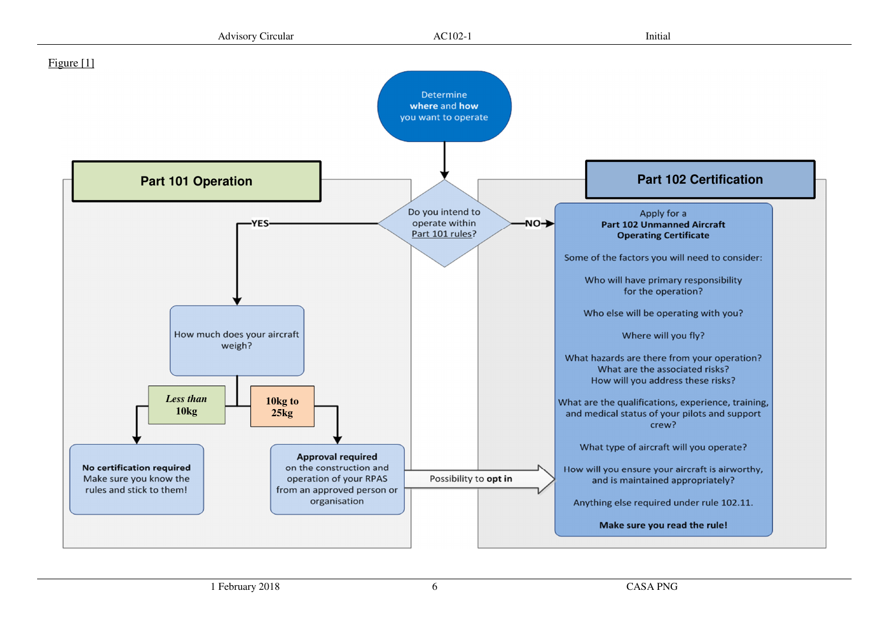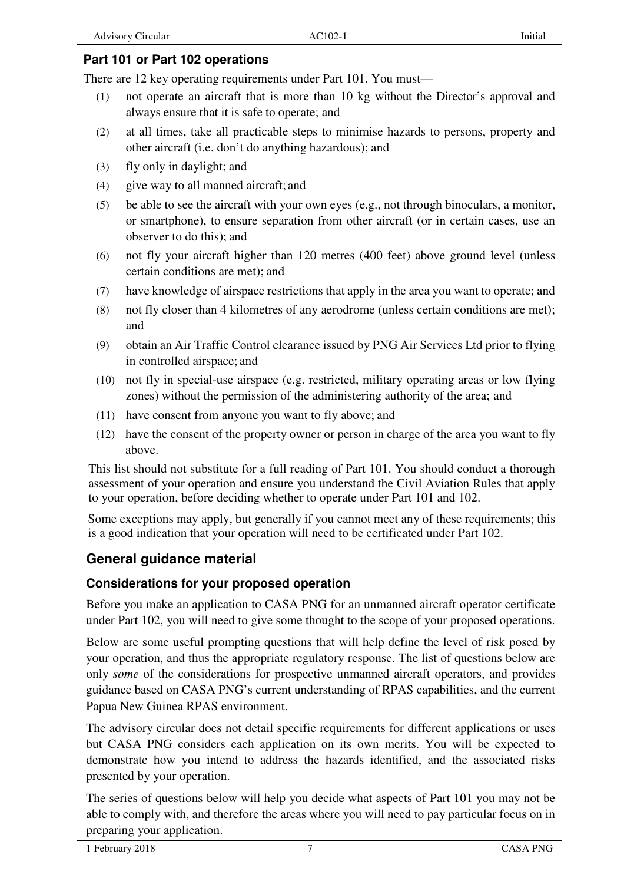#### **Part 101 or Part 102 operations**

There are 12 key operating requirements under Part 101. You must—

- (1) not operate an aircraft that is more than 10 kg without the Director's approval and always ensure that it is safe to operate; and
- (2) at all times, take all practicable steps to minimise hazards to persons, property and other aircraft (i.e. don't do anything hazardous); and
- (3) fly only in daylight; and
- (4) give way to all manned aircraft; and
- (5) be able to see the aircraft with your own eyes (e.g., not through binoculars, a monitor, or smartphone), to ensure separation from other aircraft (or in certain cases, use an observer to do this); and
- (6) not fly your aircraft higher than 120 metres (400 feet) above ground level (unless certain conditions are met); and
- (7) have knowledge of airspace restrictions that apply in the area you want to operate; and
- (8) not fly closer than 4 kilometres of any aerodrome (unless certain conditions are met); and
- (9) obtain an Air Traffic Control clearance issued by PNG Air Services Ltd prior to flying in controlled airspace; and
- (10) not fly in special-use airspace (e.g. restricted, military operating areas or low flying zones) without the permission of the administering authority of the area; and
- (11) have consent from anyone you want to fly above; and
- (12) have the consent of the property owner or person in charge of the area you want to fly above.

This list should not substitute for a full reading of Part 101. You should conduct a thorough assessment of your operation and ensure you understand the Civil Aviation Rules that apply to your operation, before deciding whether to operate under Part 101 and 102.

Some exceptions may apply, but generally if you cannot meet any of these requirements; this is a good indication that your operation will need to be certificated under Part 102.

## **General guidance material**

#### **Considerations for your proposed operation**

Before you make an application to CASA PNG for an unmanned aircraft operator certificate under Part 102, you will need to give some thought to the scope of your proposed operations.

Below are some useful prompting questions that will help define the level of risk posed by your operation, and thus the appropriate regulatory response. The list of questions below are only *some* of the considerations for prospective unmanned aircraft operators, and provides guidance based on CASA PNG's current understanding of RPAS capabilities, and the current Papua New Guinea RPAS environment.

The advisory circular does not detail specific requirements for different applications or uses but CASA PNG considers each application on its own merits. You will be expected to demonstrate how you intend to address the hazards identified, and the associated risks presented by your operation.

The series of questions below will help you decide what aspects of Part 101 you may not be able to comply with, and therefore the areas where you will need to pay particular focus on in preparing your application.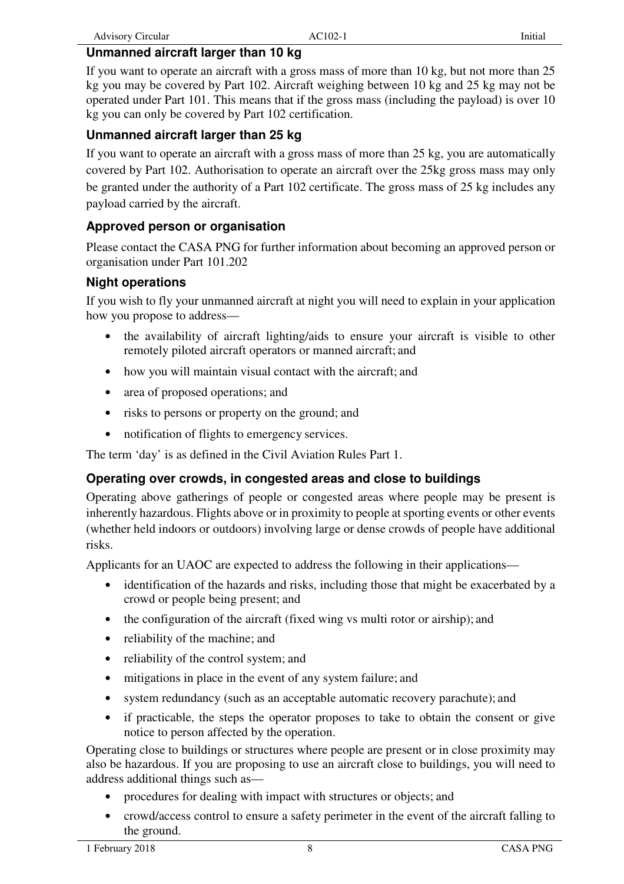#### **Unmanned aircraft larger than 10 kg**

If you want to operate an aircraft with a gross mass of more than 10 kg, but not more than 25 kg you may be covered by Part 102. Aircraft weighing between 10 kg and 25 kg may not be operated under Part 101. This means that if the gross mass (including the payload) is over 10 kg you can only be covered by Part 102 certification.

#### **Unmanned aircraft larger than 25 kg**

If you want to operate an aircraft with a gross mass of more than 25 kg, you are automatically covered by Part 102. Authorisation to operate an aircraft over the 25kg gross mass may only be granted under the authority of a Part 102 certificate. The gross mass of 25 kg includes any payload carried by the aircraft.

#### **Approved person or organisation**

Please contact the CASA PNG for further information about becoming an approved person or organisation under Part 101.202

#### **Night operations**

If you wish to fly your unmanned aircraft at night you will need to explain in your application how you propose to address—

- the availability of aircraft lighting/aids to ensure your aircraft is visible to other remotely piloted aircraft operators or manned aircraft; and
- how you will maintain visual contact with the aircraft; and
- area of proposed operations; and
- risks to persons or property on the ground; and
- notification of flights to emergency services.

The term 'day' is as defined in the Civil Aviation Rules Part 1.

#### **Operating over crowds, in congested areas and close to buildings**

Operating above gatherings of people or congested areas where people may be present is inherently hazardous. Flights above or in proximity to people at sporting events or other events (whether held indoors or outdoors) involving large or dense crowds of people have additional risks.

Applicants for an UAOC are expected to address the following in their applications—

- identification of the hazards and risks, including those that might be exacerbated by a crowd or people being present; and
- the configuration of the aircraft (fixed wing vs multi rotor or airship); and
- reliability of the machine; and
- reliability of the control system; and
- mitigations in place in the event of any system failure; and
- system redundancy (such as an acceptable automatic recovery parachute); and
- if practicable, the steps the operator proposes to take to obtain the consent or give notice to person affected by the operation.

Operating close to buildings or structures where people are present or in close proximity may also be hazardous. If you are proposing to use an aircraft close to buildings, you will need to address additional things such as—

- procedures for dealing with impact with structures or objects; and
- crowd/access control to ensure a safety perimeter in the event of the aircraft falling to the ground.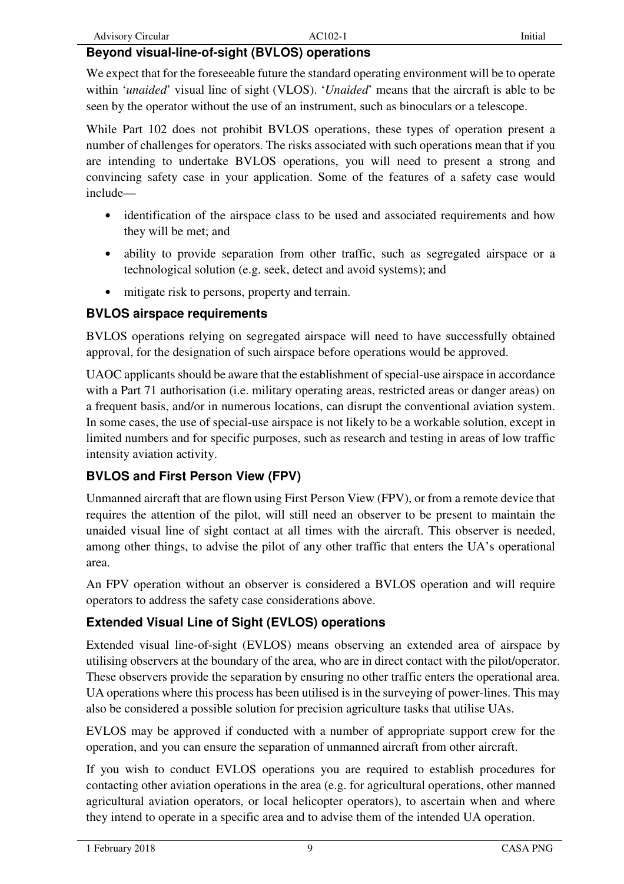#### **Beyond visual-line-of-sight (BVLOS) operations**

We expect that for the foreseeable future the standard operating environment will be to operate within '*unaided*' visual line of sight (VLOS). '*Unaided*' means that the aircraft is able to be seen by the operator without the use of an instrument, such as binoculars or a telescope.

While Part 102 does not prohibit BVLOS operations, these types of operation present a number of challenges for operators. The risks associated with such operations mean that if you are intending to undertake BVLOS operations, you will need to present a strong and convincing safety case in your application. Some of the features of a safety case would include—

- identification of the airspace class to be used and associated requirements and how they will be met; and
- ability to provide separation from other traffic, such as segregated airspace or a technological solution (e.g. seek, detect and avoid systems); and
- mitigate risk to persons, property and terrain.

### **BVLOS airspace requirements**

BVLOS operations relying on segregated airspace will need to have successfully obtained approval, for the designation of such airspace before operations would be approved.

UAOC applicants should be aware that the establishment of special-use airspace in accordance with a Part 71 authorisation (i.e. military operating areas, restricted areas or danger areas) on a frequent basis, and/or in numerous locations, can disrupt the conventional aviation system. In some cases, the use of special-use airspace is not likely to be a workable solution, except in limited numbers and for specific purposes, such as research and testing in areas of low traffic intensity aviation activity.

## **BVLOS and First Person View (FPV)**

Unmanned aircraft that are flown using First Person View (FPV), or from a remote device that requires the attention of the pilot, will still need an observer to be present to maintain the unaided visual line of sight contact at all times with the aircraft. This observer is needed, among other things, to advise the pilot of any other traffic that enters the UA's operational area.

An FPV operation without an observer is considered a BVLOS operation and will require operators to address the safety case considerations above.

## **Extended Visual Line of Sight (EVLOS) operations**

Extended visual line-of-sight (EVLOS) means observing an extended area of airspace by utilising observers at the boundary of the area, who are in direct contact with the pilot/operator. These observers provide the separation by ensuring no other traffic enters the operational area. UA operations where this process has been utilised is in the surveying of power-lines. This may also be considered a possible solution for precision agriculture tasks that utilise UAs.

EVLOS may be approved if conducted with a number of appropriate support crew for the operation, and you can ensure the separation of unmanned aircraft from other aircraft.

If you wish to conduct EVLOS operations you are required to establish procedures for contacting other aviation operations in the area (e.g. for agricultural operations, other manned agricultural aviation operators, or local helicopter operators), to ascertain when and where they intend to operate in a specific area and to advise them of the intended UA operation.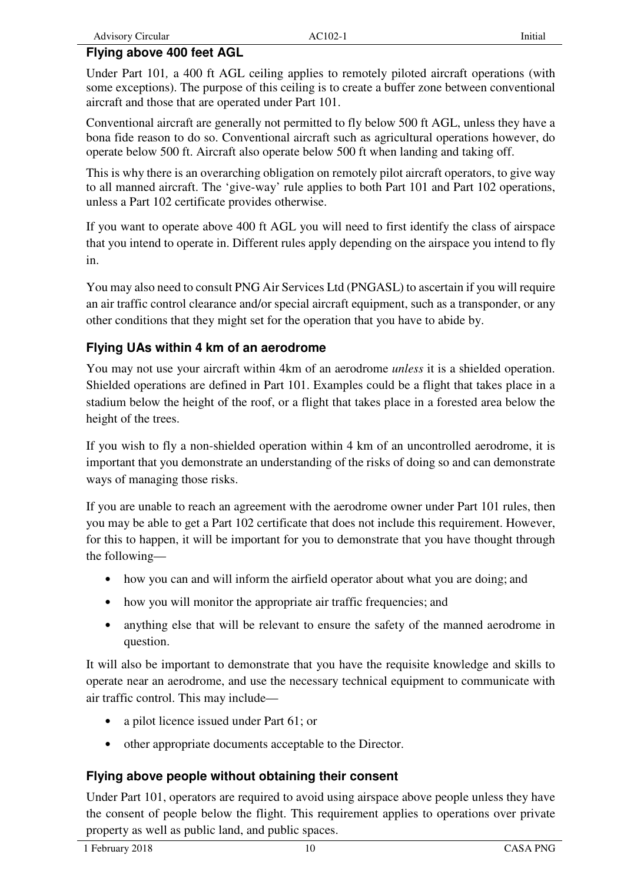Under Part 101*,* a 400 ft AGL ceiling applies to remotely piloted aircraft operations (with some exceptions). The purpose of this ceiling is to create a buffer zone between conventional aircraft and those that are operated under Part 101.

Conventional aircraft are generally not permitted to fly below 500 ft AGL, unless they have a bona fide reason to do so. Conventional aircraft such as agricultural operations however, do operate below 500 ft. Aircraft also operate below 500 ft when landing and taking off.

This is why there is an overarching obligation on remotely pilot aircraft operators, to give way to all manned aircraft. The 'give-way' rule applies to both Part 101 and Part 102 operations, unless a Part 102 certificate provides otherwise.

If you want to operate above 400 ft AGL you will need to first identify the class of airspace that you intend to operate in. Different rules apply depending on the airspace you intend to fly in.

You may also need to consult PNG Air Services Ltd (PNGASL) to ascertain if you will require an air traffic control clearance and/or special aircraft equipment, such as a transponder, or any other conditions that they might set for the operation that you have to abide by.

## **Flying UAs within 4 km of an aerodrome**

You may not use your aircraft within 4km of an aerodrome *unless* it is a shielded operation. Shielded operations are defined in Part 101. Examples could be a flight that takes place in a stadium below the height of the roof, or a flight that takes place in a forested area below the height of the trees.

If you wish to fly a non-shielded operation within 4 km of an uncontrolled aerodrome, it is important that you demonstrate an understanding of the risks of doing so and can demonstrate ways of managing those risks.

If you are unable to reach an agreement with the aerodrome owner under Part 101 rules, then you may be able to get a Part 102 certificate that does not include this requirement. However, for this to happen, it will be important for you to demonstrate that you have thought through the following—

- how you can and will inform the airfield operator about what you are doing; and
- how you will monitor the appropriate air traffic frequencies; and
- anything else that will be relevant to ensure the safety of the manned aerodrome in question.

It will also be important to demonstrate that you have the requisite knowledge and skills to operate near an aerodrome, and use the necessary technical equipment to communicate with air traffic control. This may include—

- a pilot licence issued under Part 61; or
- other appropriate documents acceptable to the Director.

## **Flying above people without obtaining their consent**

Under Part 101, operators are required to avoid using airspace above people unless they have the consent of people below the flight. This requirement applies to operations over private property as well as public land, and public spaces.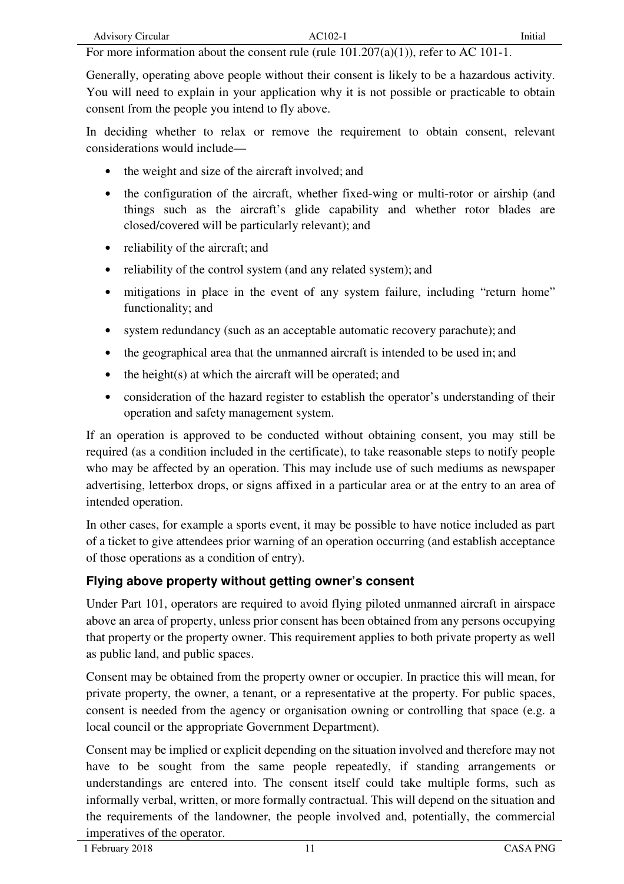For more information about the consent rule (rule 101.207(a)(1)), refer to AC 101-1.

Generally, operating above people without their consent is likely to be a hazardous activity. You will need to explain in your application why it is not possible or practicable to obtain consent from the people you intend to fly above.

In deciding whether to relax or remove the requirement to obtain consent, relevant considerations would include—

- the weight and size of the aircraft involved; and
- the configuration of the aircraft, whether fixed-wing or multi-rotor or airship (and things such as the aircraft's glide capability and whether rotor blades are closed/covered will be particularly relevant); and
- reliability of the aircraft; and
- reliability of the control system (and any related system); and
- mitigations in place in the event of any system failure, including "return home" functionality; and
- system redundancy (such as an acceptable automatic recovery parachute); and
- the geographical area that the unmanned aircraft is intended to be used in; and
- $\bullet$  the height(s) at which the aircraft will be operated; and
- consideration of the hazard register to establish the operator's understanding of their operation and safety management system.

If an operation is approved to be conducted without obtaining consent, you may still be required (as a condition included in the certificate), to take reasonable steps to notify people who may be affected by an operation. This may include use of such mediums as newspaper advertising, letterbox drops, or signs affixed in a particular area or at the entry to an area of intended operation.

In other cases, for example a sports event, it may be possible to have notice included as part of a ticket to give attendees prior warning of an operation occurring (and establish acceptance of those operations as a condition of entry).

#### **Flying above property without getting owner's consent**

Under Part 101, operators are required to avoid flying piloted unmanned aircraft in airspace above an area of property, unless prior consent has been obtained from any persons occupying that property or the property owner. This requirement applies to both private property as well as public land, and public spaces.

Consent may be obtained from the property owner or occupier. In practice this will mean, for private property, the owner, a tenant, or a representative at the property. For public spaces, consent is needed from the agency or organisation owning or controlling that space (e.g. a local council or the appropriate Government Department).

Consent may be implied or explicit depending on the situation involved and therefore may not have to be sought from the same people repeatedly, if standing arrangements or understandings are entered into. The consent itself could take multiple forms, such as informally verbal, written, or more formally contractual. This will depend on the situation and the requirements of the landowner, the people involved and, potentially, the commercial imperatives of the operator.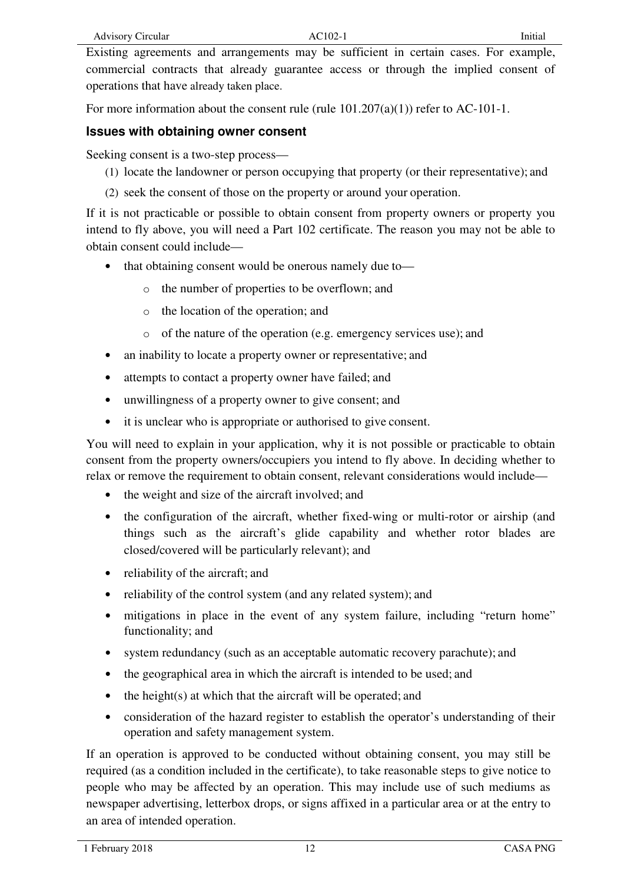Existing agreements and arrangements may be sufficient in certain cases. For example, commercial contracts that already guarantee access or through the implied consent of operations that have already taken place.

For more information about the consent rule (rule  $101.207(a)(1)$ ) refer to AC-101-1.

#### **Issues with obtaining owner consent**

Seeking consent is a two-step process—

- (1) locate the landowner or person occupying that property (or their representative); and
- (2) seek the consent of those on the property or around your operation.

If it is not practicable or possible to obtain consent from property owners or property you intend to fly above, you will need a Part 102 certificate. The reason you may not be able to obtain consent could include—

- that obtaining consent would be onerous namely due to
	- o the number of properties to be overflown; and
	- o the location of the operation; and
	- o of the nature of the operation (e.g. emergency services use); and
- an inability to locate a property owner or representative; and
- attempts to contact a property owner have failed; and
- unwillingness of a property owner to give consent; and
- it is unclear who is appropriate or authorised to give consent.

You will need to explain in your application, why it is not possible or practicable to obtain consent from the property owners/occupiers you intend to fly above. In deciding whether to relax or remove the requirement to obtain consent, relevant considerations would include—

- the weight and size of the aircraft involved; and
- the configuration of the aircraft, whether fixed-wing or multi-rotor or airship (and things such as the aircraft's glide capability and whether rotor blades are closed/covered will be particularly relevant); and
- reliability of the aircraft; and
- reliability of the control system (and any related system); and
- mitigations in place in the event of any system failure, including "return home" functionality; and
- system redundancy (such as an acceptable automatic recovery parachute); and
- the geographical area in which the aircraft is intended to be used; and
- the height(s) at which that the aircraft will be operated; and
- consideration of the hazard register to establish the operator's understanding of their operation and safety management system.

If an operation is approved to be conducted without obtaining consent, you may still be required (as a condition included in the certificate), to take reasonable steps to give notice to people who may be affected by an operation. This may include use of such mediums as newspaper advertising, letterbox drops, or signs affixed in a particular area or at the entry to an area of intended operation.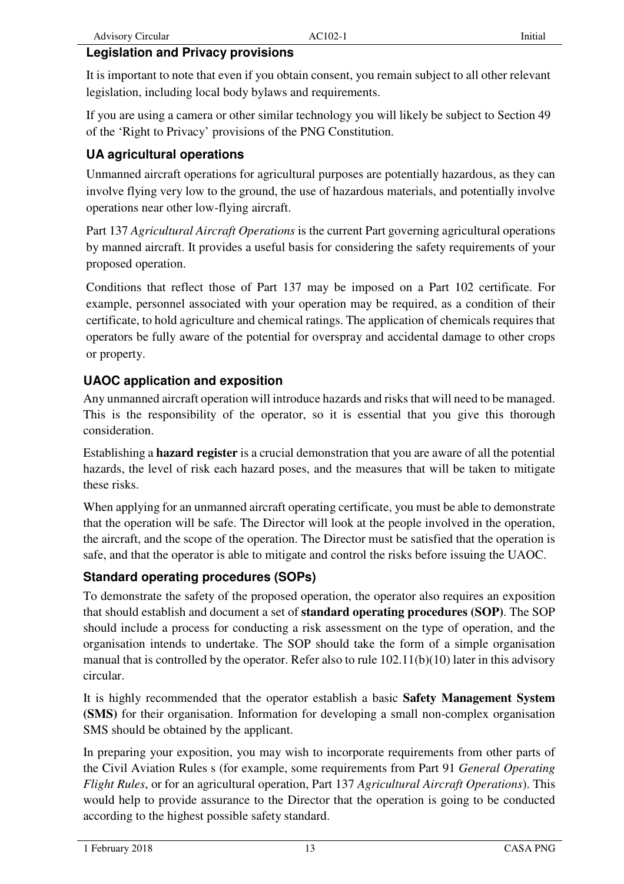### **Legislation and Privacy provisions**

It is important to note that even if you obtain consent, you remain subject to all other relevant legislation, including local body bylaws and requirements.

If you are using a camera or other similar technology you will likely be subject to Section 49 of the 'Right to Privacy' provisions of the PNG Constitution.

## **UA agricultural operations**

Unmanned aircraft operations for agricultural purposes are potentially hazardous, as they can involve flying very low to the ground, the use of hazardous materials, and potentially involve operations near other low-flying aircraft.

Part 137 *Agricultural Aircraft Operations* is the current Part governing agricultural operations by manned aircraft. It provides a useful basis for considering the safety requirements of your proposed operation.

Conditions that reflect those of Part 137 may be imposed on a Part 102 certificate. For example, personnel associated with your operation may be required, as a condition of their certificate, to hold agriculture and chemical ratings. The application of chemicals requires that operators be fully aware of the potential for overspray and accidental damage to other crops or property.

## **UAOC application and exposition**

Any unmanned aircraft operation will introduce hazards and risks that will need to be managed. This is the responsibility of the operator, so it is essential that you give this thorough consideration.

Establishing a **hazard register** is a crucial demonstration that you are aware of all the potential hazards, the level of risk each hazard poses, and the measures that will be taken to mitigate these risks.

When applying for an unmanned aircraft operating certificate, you must be able to demonstrate that the operation will be safe. The Director will look at the people involved in the operation, the aircraft, and the scope of the operation. The Director must be satisfied that the operation is safe, and that the operator is able to mitigate and control the risks before issuing the UAOC.

## **Standard operating procedures (SOPs)**

To demonstrate the safety of the proposed operation, the operator also requires an exposition that should establish and document a set of **standard operating procedures (SOP)**. The SOP should include a process for conducting a risk assessment on the type of operation, and the organisation intends to undertake. The SOP should take the form of a simple organisation manual that is controlled by the operator. Refer also to rule 102.11(b)(10) later in this advisory circular.

It is highly recommended that the operator establish a basic **Safety Management System (SMS)** for their organisation. Information for developing a small non-complex organisation SMS should be obtained by the applicant.

In preparing your exposition, you may wish to incorporate requirements from other parts of the Civil Aviation Rules s (for example, some requirements from Part 91 *General Operating Flight Rules*, or for an agricultural operation, Part 137 *Agricultural Aircraft Operations*). This would help to provide assurance to the Director that the operation is going to be conducted according to the highest possible safety standard.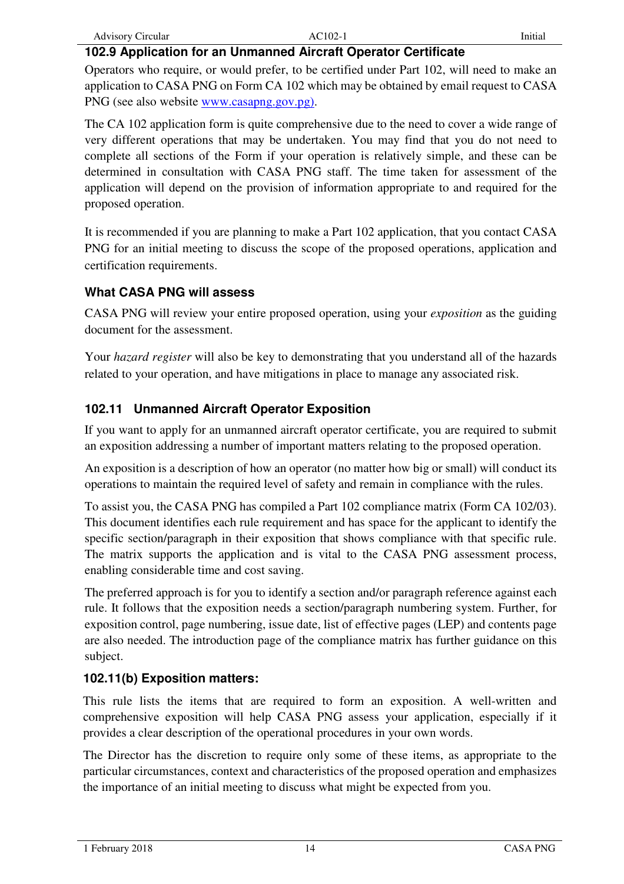| <b>Advisory Circular</b> | $AC102-1$ | Initial |
|--------------------------|-----------|---------|

#### **102.9 Application for an Unmanned Aircraft Operator Certificate**

Operators who require, or would prefer, to be certified under Part 102, will need to make an application to CASA PNG on Form CA 102 which may be obtained by email request to CASA PNG (see also website www.casapng.gov.pg).

The CA 102 application form is quite comprehensive due to the need to cover a wide range of very different operations that may be undertaken. You may find that you do not need to complete all sections of the Form if your operation is relatively simple, and these can be determined in consultation with CASA PNG staff. The time taken for assessment of the application will depend on the provision of information appropriate to and required for the proposed operation.

It is recommended if you are planning to make a Part 102 application, that you contact CASA PNG for an initial meeting to discuss the scope of the proposed operations, application and certification requirements.

#### **What CASA PNG will assess**

CASA PNG will review your entire proposed operation, using your *exposition* as the guiding document for the assessment.

Your *hazard register* will also be key to demonstrating that you understand all of the hazards related to your operation, and have mitigations in place to manage any associated risk.

#### **102.11 Unmanned Aircraft Operator Exposition**

If you want to apply for an unmanned aircraft operator certificate, you are required to submit an exposition addressing a number of important matters relating to the proposed operation.

An exposition is a description of how an operator (no matter how big or small) will conduct its operations to maintain the required level of safety and remain in compliance with the rules.

To assist you, the CASA PNG has compiled a Part 102 compliance matrix (Form CA 102/03). This document identifies each rule requirement and has space for the applicant to identify the specific section/paragraph in their exposition that shows compliance with that specific rule. The matrix supports the application and is vital to the CASA PNG assessment process, enabling considerable time and cost saving.

The preferred approach is for you to identify a section and/or paragraph reference against each rule. It follows that the exposition needs a section/paragraph numbering system. Further, for exposition control, page numbering, issue date, list of effective pages (LEP) and contents page are also needed. The introduction page of the compliance matrix has further guidance on this subject.

#### **102.11(b) Exposition matters:**

This rule lists the items that are required to form an exposition. A well-written and comprehensive exposition will help CASA PNG assess your application, especially if it provides a clear description of the operational procedures in your own words.

The Director has the discretion to require only some of these items, as appropriate to the particular circumstances, context and characteristics of the proposed operation and emphasizes the importance of an initial meeting to discuss what might be expected from you.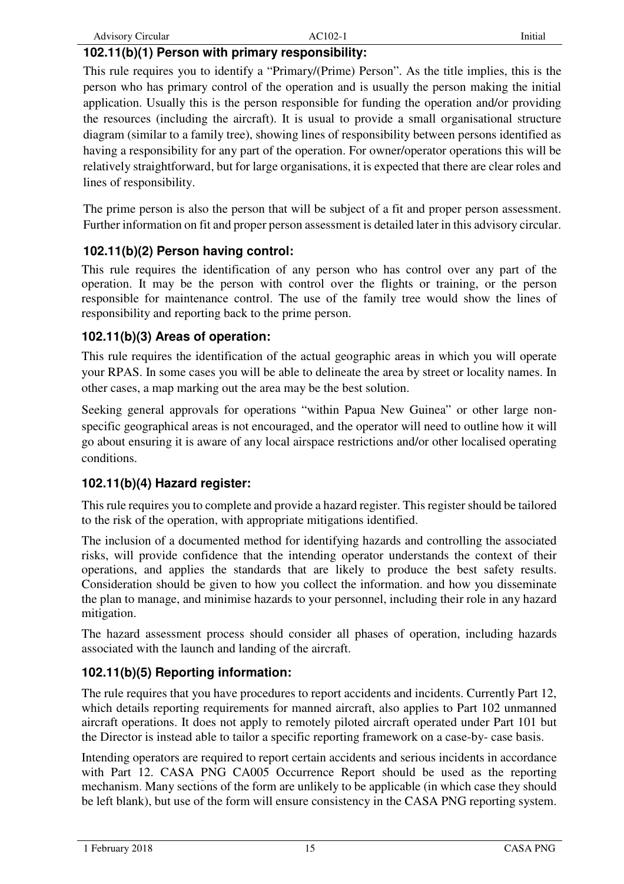#### **102.11(b)(1) Person with primary responsibility:**

This rule requires you to identify a "Primary/(Prime) Person". As the title implies, this is the person who has primary control of the operation and is usually the person making the initial application. Usually this is the person responsible for funding the operation and/or providing the resources (including the aircraft). It is usual to provide a small organisational structure diagram (similar to a family tree), showing lines of responsibility between persons identified as having a responsibility for any part of the operation. For owner/operator operations this will be relatively straightforward, but for large organisations, it is expected that there are clear roles and lines of responsibility.

The prime person is also the person that will be subject of a fit and proper person assessment. Further information on fit and proper person assessment is detailed later in this advisory circular.

#### **102.11(b)(2) Person having control:**

This rule requires the identification of any person who has control over any part of the operation. It may be the person with control over the flights or training, or the person responsible for maintenance control. The use of the family tree would show the lines of responsibility and reporting back to the prime person.

#### **102.11(b)(3) Areas of operation:**

This rule requires the identification of the actual geographic areas in which you will operate your RPAS. In some cases you will be able to delineate the area by street or locality names. In other cases, a map marking out the area may be the best solution.

Seeking general approvals for operations "within Papua New Guinea" or other large nonspecific geographical areas is not encouraged, and the operator will need to outline how it will go about ensuring it is aware of any local airspace restrictions and/or other localised operating conditions.

#### **102.11(b)(4) Hazard register:**

This rule requires you to complete and provide a hazard register. This register should be tailored to the risk of the operation, with appropriate mitigations identified.

The inclusion of a documented method for identifying hazards and controlling the associated risks, will provide confidence that the intending operator understands the context of their operations, and applies the standards that are likely to produce the best safety results. Consideration should be given to how you collect the information. and how you disseminate the plan to manage, and minimise hazards to your personnel, including their role in any hazard mitigation.

The hazard assessment process should consider all phases of operation, including hazards associated with the launch and landing of the aircraft.

#### **102.11(b)(5) Reporting information:**

The rule requires that you have procedures to report accidents and incidents. Currently Part 12, which details reporting requirements for manned aircraft, also applies to Part 102 unmanned aircraft operations. It does not apply to remotely piloted aircraft operated under Part 101 but the Director is instead able to tailor a specific reporting framework on a case-by- case basis.

Intending operators are required to report certain accidents and serious incidents in accordance with Part 12. CASA PNG CA005 Occurrence Report should be used as the reporting mechanism. Many sections of the form are unlikely to be applicable (in which case they should be left blank), but use of the form will ensure consistency in the CASA PNG reporting system.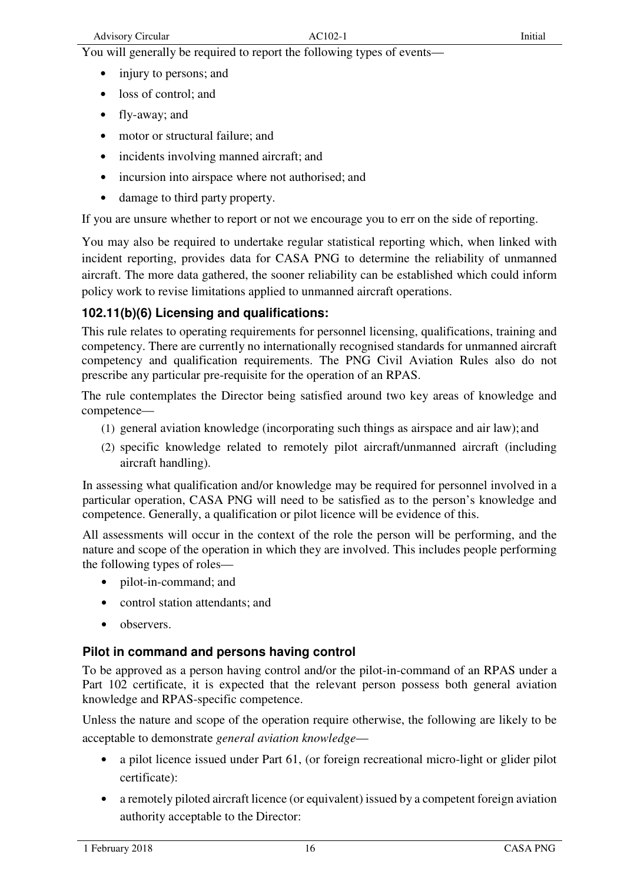You will generally be required to report the following types of events—

- injury to persons; and
- loss of control; and
- fly-away; and
- motor or structural failure: and
- incidents involving manned aircraft: and
- incursion into airspace where not authorised; and
- damage to third party property.

If you are unsure whether to report or not we encourage you to err on the side of reporting.

You may also be required to undertake regular statistical reporting which, when linked with incident reporting, provides data for CASA PNG to determine the reliability of unmanned aircraft. The more data gathered, the sooner reliability can be established which could inform policy work to revise limitations applied to unmanned aircraft operations.

### **102.11(b)(6) Licensing and qualifications:**

This rule relates to operating requirements for personnel licensing, qualifications, training and competency. There are currently no internationally recognised standards for unmanned aircraft competency and qualification requirements. The PNG Civil Aviation Rules also do not prescribe any particular pre-requisite for the operation of an RPAS.

The rule contemplates the Director being satisfied around two key areas of knowledge and competence—

- (1) general aviation knowledge (incorporating such things as airspace and air law); and
- (2) specific knowledge related to remotely pilot aircraft/unmanned aircraft (including aircraft handling).

In assessing what qualification and/or knowledge may be required for personnel involved in a particular operation, CASA PNG will need to be satisfied as to the person's knowledge and competence. Generally, a qualification or pilot licence will be evidence of this.

All assessments will occur in the context of the role the person will be performing, and the nature and scope of the operation in which they are involved. This includes people performing the following types of roles—

- pilot-in-command; and
- control station attendants; and
- observers.

#### **Pilot in command and persons having control**

To be approved as a person having control and/or the pilot-in-command of an RPAS under a Part 102 certificate, it is expected that the relevant person possess both general aviation knowledge and RPAS-specific competence.

Unless the nature and scope of the operation require otherwise, the following are likely to be acceptable to demonstrate *general aviation knowledge*—

- a pilot licence issued under Part 61, (or foreign recreational micro-light or glider pilot certificate):
- a remotely piloted aircraft licence (or equivalent) issued by a competent foreign aviation authority acceptable to the Director: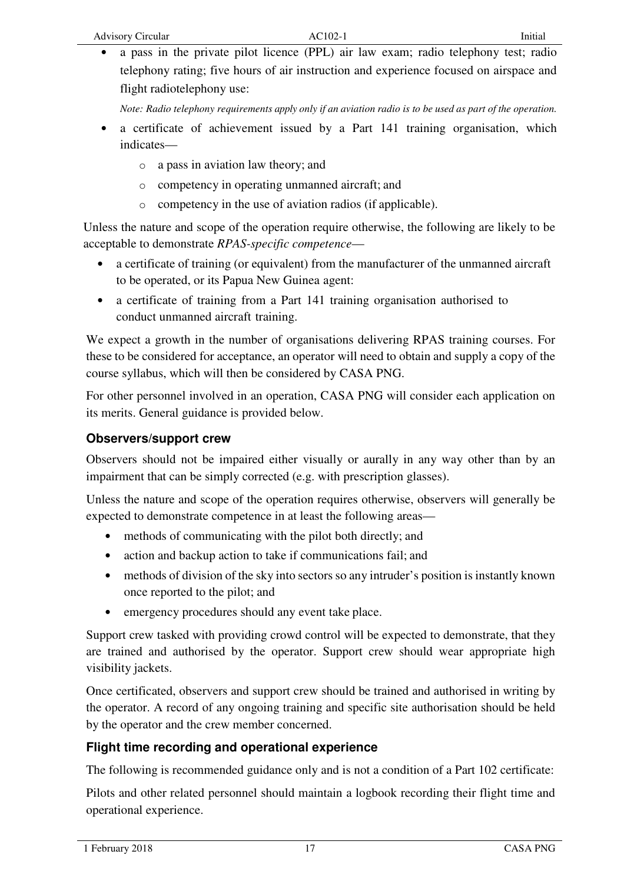• a pass in the private pilot licence (PPL) air law exam; radio telephony test; radio telephony rating; five hours of air instruction and experience focused on airspace and flight radiotelephony use:

*Note: Radio telephony requirements apply only if an aviation radio is to be used as part of the operation.* 

- a certificate of achievement issued by a Part 141 training organisation, which indicates
	- o a pass in aviation law theory; and
	- o competency in operating unmanned aircraft; and
	- o competency in the use of aviation radios (if applicable).

Unless the nature and scope of the operation require otherwise, the following are likely to be acceptable to demonstrate *RPAS-specific competence*—

- a certificate of training (or equivalent) from the manufacturer of the unmanned aircraft to be operated, or its Papua New Guinea agent:
- a certificate of training from a Part 141 training organisation authorised to conduct unmanned aircraft training.

We expect a growth in the number of organisations delivering RPAS training courses. For these to be considered for acceptance, an operator will need to obtain and supply a copy of the course syllabus, which will then be considered by CASA PNG.

For other personnel involved in an operation, CASA PNG will consider each application on its merits. General guidance is provided below.

#### **Observers/support crew**

Observers should not be impaired either visually or aurally in any way other than by an impairment that can be simply corrected (e.g. with prescription glasses).

Unless the nature and scope of the operation requires otherwise, observers will generally be expected to demonstrate competence in at least the following areas—

- methods of communicating with the pilot both directly; and
- action and backup action to take if communications fail; and
- methods of division of the sky into sectors so any intruder's position is instantly known once reported to the pilot; and
- emergency procedures should any event take place.

Support crew tasked with providing crowd control will be expected to demonstrate, that they are trained and authorised by the operator. Support crew should wear appropriate high visibility jackets.

Once certificated, observers and support crew should be trained and authorised in writing by the operator. A record of any ongoing training and specific site authorisation should be held by the operator and the crew member concerned.

#### **Flight time recording and operational experience**

The following is recommended guidance only and is not a condition of a Part 102 certificate:

Pilots and other related personnel should maintain a logbook recording their flight time and operational experience.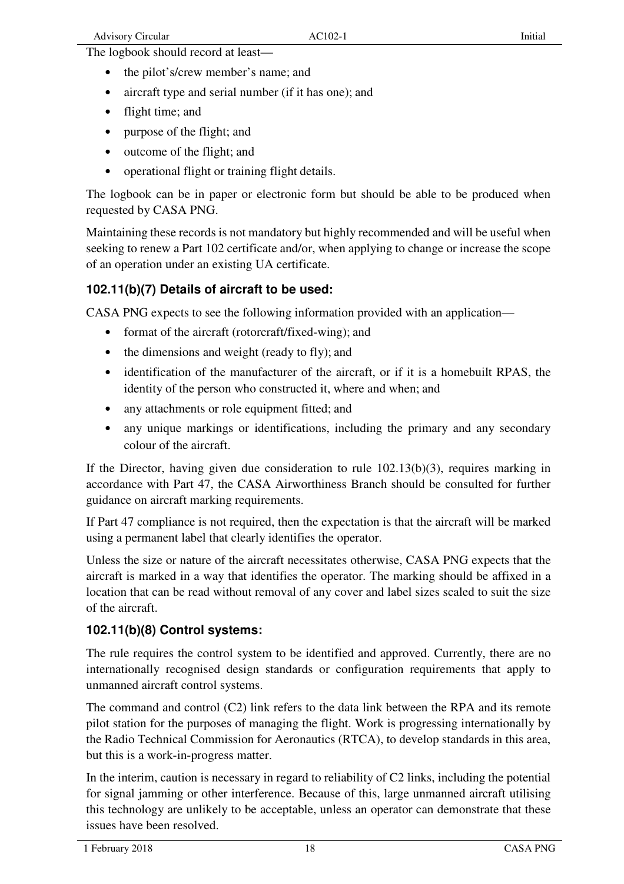The logbook should record at least-

- the pilot's/crew member's name; and
- aircraft type and serial number (if it has one); and
- flight time: and
- purpose of the flight; and
- outcome of the flight; and
- operational flight or training flight details.

The logbook can be in paper or electronic form but should be able to be produced when requested by CASA PNG.

Maintaining these records is not mandatory but highly recommended and will be useful when seeking to renew a Part 102 certificate and/or, when applying to change or increase the scope of an operation under an existing UA certificate.

#### **102.11(b)(7) Details of aircraft to be used:**

CASA PNG expects to see the following information provided with an application—

- format of the aircraft (rotorcraft/fixed-wing); and
- the dimensions and weight (ready to fly); and
- identification of the manufacturer of the aircraft, or if it is a homebuilt RPAS, the identity of the person who constructed it, where and when; and
- any attachments or role equipment fitted; and
- any unique markings or identifications, including the primary and any secondary colour of the aircraft.

If the Director, having given due consideration to rule 102.13(b)(3), requires marking in accordance with Part 47, the CASA Airworthiness Branch should be consulted for further guidance on aircraft marking requirements.

If Part 47 compliance is not required, then the expectation is that the aircraft will be marked using a permanent label that clearly identifies the operator.

Unless the size or nature of the aircraft necessitates otherwise, CASA PNG expects that the aircraft is marked in a way that identifies the operator. The marking should be affixed in a location that can be read without removal of any cover and label sizes scaled to suit the size of the aircraft.

#### **102.11(b)(8) Control systems:**

The rule requires the control system to be identified and approved. Currently, there are no internationally recognised design standards or configuration requirements that apply to unmanned aircraft control systems.

The command and control (C2) link refers to the data link between the RPA and its remote pilot station for the purposes of managing the flight. Work is progressing internationally by the Radio Technical Commission for Aeronautics (RTCA), to develop standards in this area, but this is a work-in-progress matter.

In the interim, caution is necessary in regard to reliability of C2 links, including the potential for signal jamming or other interference. Because of this, large unmanned aircraft utilising this technology are unlikely to be acceptable, unless an operator can demonstrate that these issues have been resolved.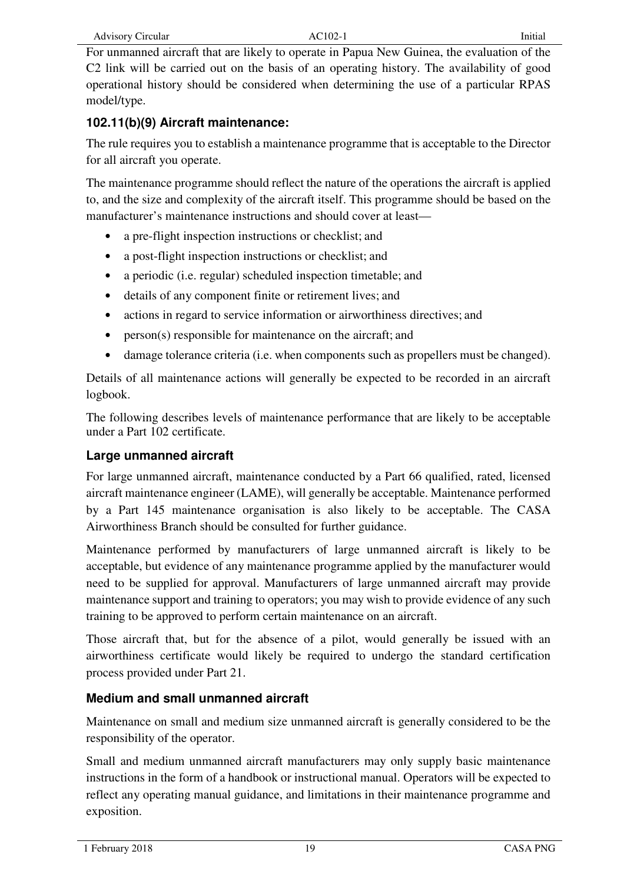For unmanned aircraft that are likely to operate in Papua New Guinea, the evaluation of the C2 link will be carried out on the basis of an operating history. The availability of good operational history should be considered when determining the use of a particular RPAS model/type.

### **102.11(b)(9) Aircraft maintenance:**

The rule requires you to establish a maintenance programme that is acceptable to the Director for all aircraft you operate.

The maintenance programme should reflect the nature of the operations the aircraft is applied to, and the size and complexity of the aircraft itself. This programme should be based on the manufacturer's maintenance instructions and should cover at least—

- a pre-flight inspection instructions or checklist; and
- a post-flight inspection instructions or checklist; and
- a periodic (i.e. regular) scheduled inspection timetable; and
- details of any component finite or retirement lives; and
- actions in regard to service information or airworthiness directives; and
- person(s) responsible for maintenance on the aircraft; and
- damage tolerance criteria (i.e. when components such as propellers must be changed).

Details of all maintenance actions will generally be expected to be recorded in an aircraft logbook.

The following describes levels of maintenance performance that are likely to be acceptable under a Part 102 certificate.

#### **Large unmanned aircraft**

For large unmanned aircraft, maintenance conducted by a Part 66 qualified, rated, licensed aircraft maintenance engineer (LAME), will generally be acceptable. Maintenance performed by a Part 145 maintenance organisation is also likely to be acceptable. The CASA Airworthiness Branch should be consulted for further guidance.

Maintenance performed by manufacturers of large unmanned aircraft is likely to be acceptable, but evidence of any maintenance programme applied by the manufacturer would need to be supplied for approval. Manufacturers of large unmanned aircraft may provide maintenance support and training to operators; you may wish to provide evidence of any such training to be approved to perform certain maintenance on an aircraft.

Those aircraft that, but for the absence of a pilot, would generally be issued with an airworthiness certificate would likely be required to undergo the standard certification process provided under Part 21.

#### **Medium and small unmanned aircraft**

Maintenance on small and medium size unmanned aircraft is generally considered to be the responsibility of the operator.

Small and medium unmanned aircraft manufacturers may only supply basic maintenance instructions in the form of a handbook or instructional manual. Operators will be expected to reflect any operating manual guidance, and limitations in their maintenance programme and exposition.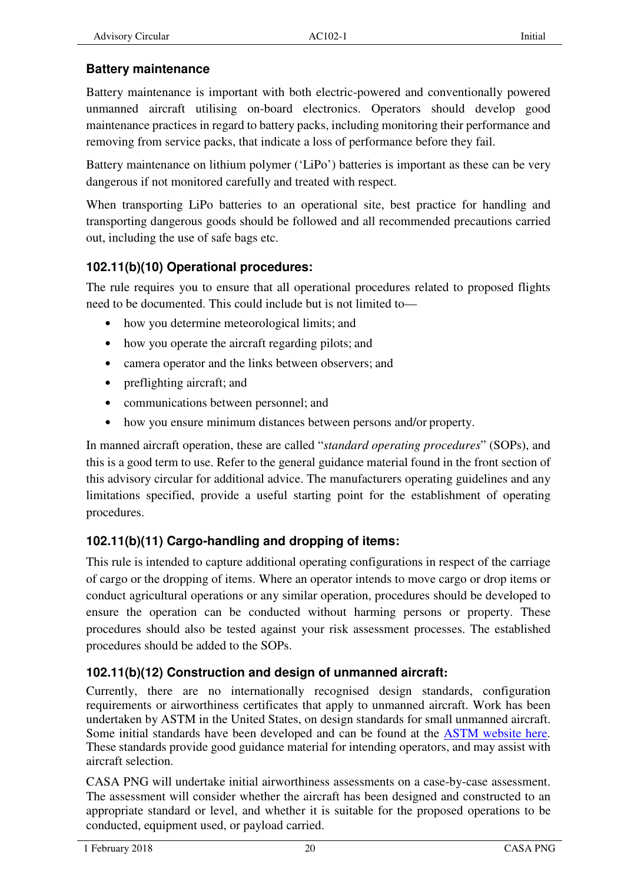## **Battery maintenance**

Battery maintenance is important with both electric-powered and conventionally powered unmanned aircraft utilising on-board electronics. Operators should develop good maintenance practices in regard to battery packs, including monitoring their performance and removing from service packs, that indicate a loss of performance before they fail.

Battery maintenance on lithium polymer ('LiPo') batteries is important as these can be very dangerous if not monitored carefully and treated with respect.

When transporting LiPo batteries to an operational site, best practice for handling and transporting dangerous goods should be followed and all recommended precautions carried out, including the use of safe bags etc.

## **102.11(b)(10) Operational procedures:**

The rule requires you to ensure that all operational procedures related to proposed flights need to be documented. This could include but is not limited to—

- how you determine meteorological limits; and
- how you operate the aircraft regarding pilots; and
- camera operator and the links between observers; and
- preflighting aircraft; and
- communications between personnel; and
- how you ensure minimum distances between persons and/or property.

In manned aircraft operation, these are called "*standard operating procedures*" (SOPs), and this is a good term to use. Refer to the general guidance material found in the front section of this advisory circular for additional advice. The manufacturers operating guidelines and any limitations specified, provide a useful starting point for the establishment of operating procedures.

## **102.11(b)(11) Cargo-handling and dropping of items:**

This rule is intended to capture additional operating configurations in respect of the carriage of cargo or the dropping of items. Where an operator intends to move cargo or drop items or conduct agricultural operations or any similar operation, procedures should be developed to ensure the operation can be conducted without harming persons or property. These procedures should also be tested against your risk assessment processes. The established procedures should be added to the SOPs.

## **102.11(b)(12) Construction and design of unmanned aircraft:**

Currently, there are no internationally recognised design standards, configuration requirements or airworthiness certificates that apply to unmanned aircraft. Work has been undertaken by ASTM in the United States, on design standards for small unmanned aircraft. Some initial standards have been developed and can be found at the ASTM website here. These standards provide good guidance material for intending operators, and may assist with aircraft selection.

CASA PNG will undertake initial airworthiness assessments on a case-by-case assessment. The assessment will consider whether the aircraft has been designed and constructed to an appropriate standard or level, and whether it is suitable for the proposed operations to be conducted, equipment used, or payload carried.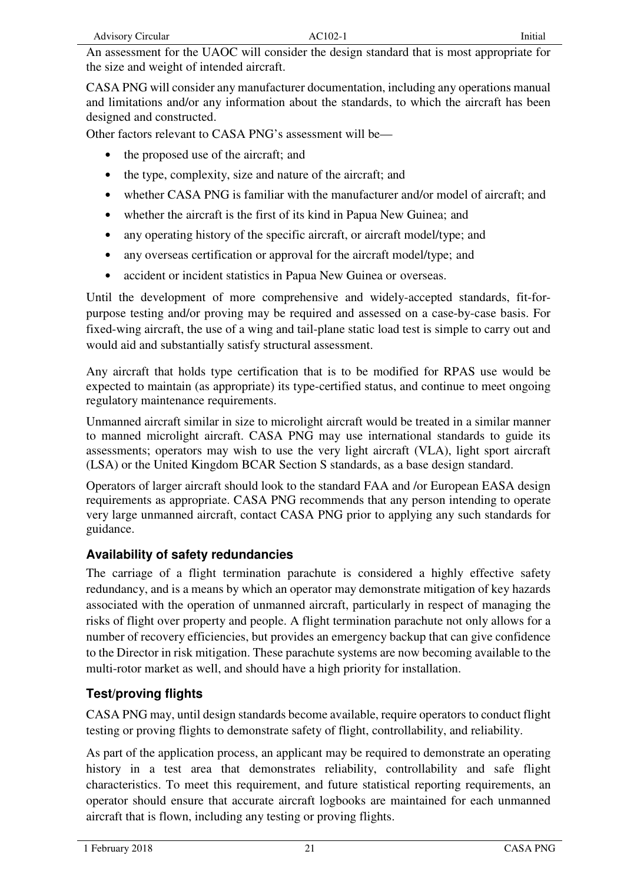An assessment for the UAOC will consider the design standard that is most appropriate for the size and weight of intended aircraft.

CASA PNG will consider any manufacturer documentation, including any operations manual and limitations and/or any information about the standards, to which the aircraft has been designed and constructed.

Other factors relevant to CASA PNG's assessment will be—

- the proposed use of the aircraft; and
- the type, complexity, size and nature of the aircraft; and
- whether CASA PNG is familiar with the manufacturer and/or model of aircraft; and
- whether the aircraft is the first of its kind in Papua New Guinea; and
- any operating history of the specific aircraft, or aircraft model/type; and
- any overseas certification or approval for the aircraft model/type; and
- accident or incident statistics in Papua New Guinea or overseas.

Until the development of more comprehensive and widely-accepted standards, fit-forpurpose testing and/or proving may be required and assessed on a case-by-case basis. For fixed-wing aircraft, the use of a wing and tail-plane static load test is simple to carry out and would aid and substantially satisfy structural assessment.

Any aircraft that holds type certification that is to be modified for RPAS use would be expected to maintain (as appropriate) its type-certified status, and continue to meet ongoing regulatory maintenance requirements.

Unmanned aircraft similar in size to microlight aircraft would be treated in a similar manner to manned microlight aircraft. CASA PNG may use international standards to guide its assessments; operators may wish to use the very light aircraft (VLA), light sport aircraft (LSA) or the United Kingdom BCAR Section S standards, as a base design standard.

Operators of larger aircraft should look to the standard FAA and /or European EASA design requirements as appropriate. CASA PNG recommends that any person intending to operate very large unmanned aircraft, contact CASA PNG prior to applying any such standards for guidance.

#### **Availability of safety redundancies**

The carriage of a flight termination parachute is considered a highly effective safety redundancy, and is a means by which an operator may demonstrate mitigation of key hazards associated with the operation of unmanned aircraft, particularly in respect of managing the risks of flight over property and people. A flight termination parachute not only allows for a number of recovery efficiencies, but provides an emergency backup that can give confidence to the Director in risk mitigation. These parachute systems are now becoming available to the multi-rotor market as well, and should have a high priority for installation.

## **Test/proving flights**

CASA PNG may, until design standards become available, require operators to conduct flight testing or proving flights to demonstrate safety of flight, controllability, and reliability.

As part of the application process, an applicant may be required to demonstrate an operating history in a test area that demonstrates reliability, controllability and safe flight characteristics. To meet this requirement, and future statistical reporting requirements, an operator should ensure that accurate aircraft logbooks are maintained for each unmanned aircraft that is flown, including any testing or proving flights.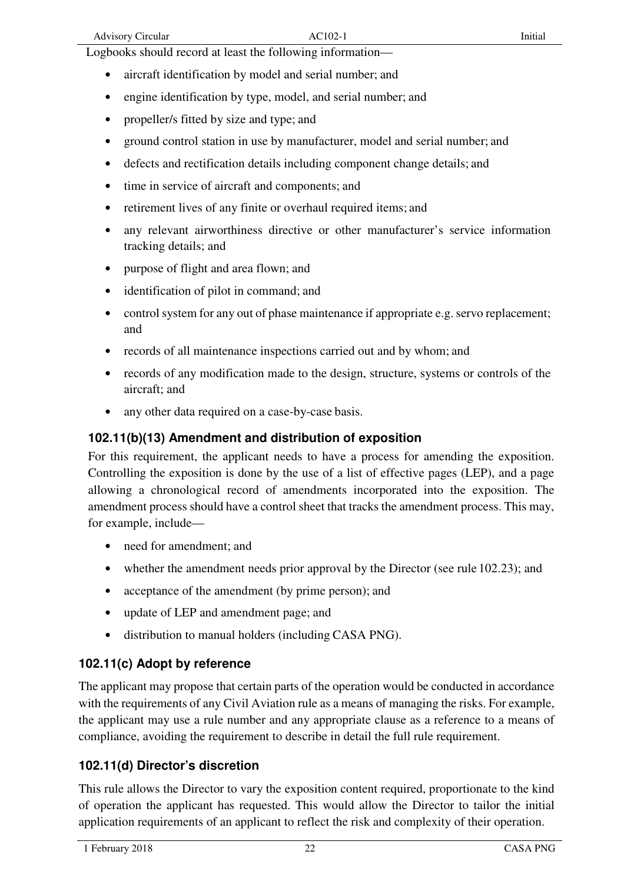- aircraft identification by model and serial number; and
- engine identification by type, model, and serial number; and
- propeller/s fitted by size and type; and
- ground control station in use by manufacturer, model and serial number; and
- defects and rectification details including component change details; and
- time in service of aircraft and components; and
- retirement lives of any finite or overhaul required items; and
- any relevant airworthiness directive or other manufacturer's service information tracking details; and
- purpose of flight and area flown; and
- identification of pilot in command; and
- control system for any out of phase maintenance if appropriate e.g. servo replacement; and
- records of all maintenance inspections carried out and by whom; and
- records of any modification made to the design, structure, systems or controls of the aircraft; and
- any other data required on a case-by-case basis.

#### **102.11(b)(13) Amendment and distribution of exposition**

For this requirement, the applicant needs to have a process for amending the exposition. Controlling the exposition is done by the use of a list of effective pages (LEP), and a page allowing a chronological record of amendments incorporated into the exposition. The amendment process should have a control sheet that tracks the amendment process. This may, for example, include—

- need for amendment; and
- whether the amendment needs prior approval by the Director (see rule 102.23); and
- acceptance of the amendment (by prime person); and
- update of LEP and amendment page; and
- distribution to manual holders (including CASA PNG).

#### **102.11(c) Adopt by reference**

The applicant may propose that certain parts of the operation would be conducted in accordance with the requirements of any Civil Aviation rule as a means of managing the risks. For example, the applicant may use a rule number and any appropriate clause as a reference to a means of compliance, avoiding the requirement to describe in detail the full rule requirement.

## **102.11(d) Director's discretion**

This rule allows the Director to vary the exposition content required, proportionate to the kind of operation the applicant has requested. This would allow the Director to tailor the initial application requirements of an applicant to reflect the risk and complexity of their operation.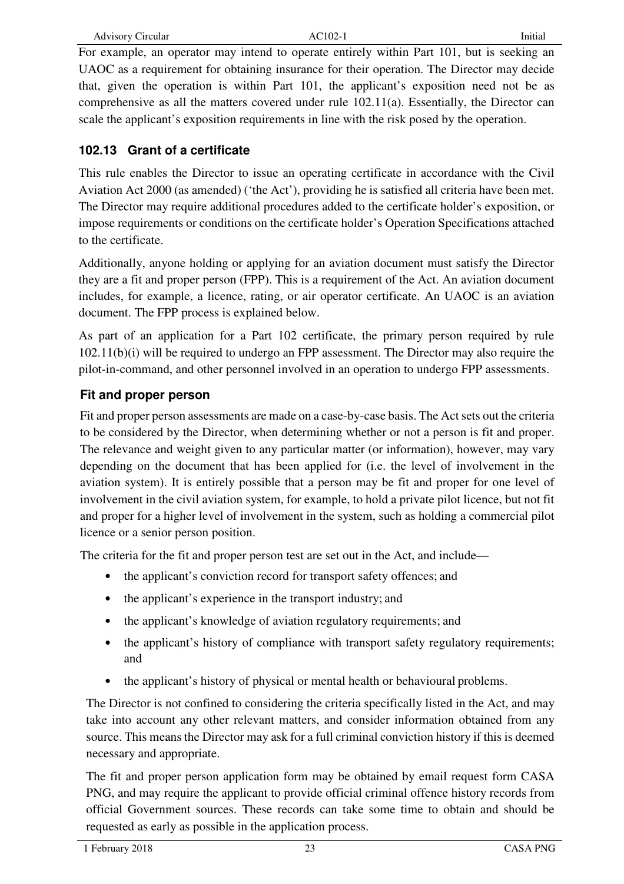For example, an operator may intend to operate entirely within Part 101, but is seeking an UAOC as a requirement for obtaining insurance for their operation. The Director may decide that, given the operation is within Part 101, the applicant's exposition need not be as comprehensive as all the matters covered under rule 102.11(a). Essentially, the Director can scale the applicant's exposition requirements in line with the risk posed by the operation.

#### **102.13 Grant of a certificate**

This rule enables the Director to issue an operating certificate in accordance with the Civil Aviation Act 2000 (as amended) ('the Act'), providing he is satisfied all criteria have been met. The Director may require additional procedures added to the certificate holder's exposition, or impose requirements or conditions on the certificate holder's Operation Specifications attached to the certificate.

Additionally, anyone holding or applying for an aviation document must satisfy the Director they are a fit and proper person (FPP). This is a requirement of the Act. An aviation document includes, for example, a licence, rating, or air operator certificate. An UAOC is an aviation document. The FPP process is explained below.

As part of an application for a Part 102 certificate, the primary person required by rule 102.11(b)(i) will be required to undergo an FPP assessment. The Director may also require the pilot-in-command, and other personnel involved in an operation to undergo FPP assessments.

## **Fit and proper person**

Fit and proper person assessments are made on a case-by-case basis. The Act sets out the criteria to be considered by the Director, when determining whether or not a person is fit and proper. The relevance and weight given to any particular matter (or information), however, may vary depending on the document that has been applied for (i.e. the level of involvement in the aviation system). It is entirely possible that a person may be fit and proper for one level of involvement in the civil aviation system, for example, to hold a private pilot licence, but not fit and proper for a higher level of involvement in the system, such as holding a commercial pilot licence or a senior person position.

The criteria for the fit and proper person test are set out in the Act, and include—

- the applicant's conviction record for transport safety offences; and
- the applicant's experience in the transport industry; and
- the applicant's knowledge of aviation regulatory requirements; and
- the applicant's history of compliance with transport safety regulatory requirements; and
- the applicant's history of physical or mental health or behavioural problems.

The Director is not confined to considering the criteria specifically listed in the Act, and may take into account any other relevant matters, and consider information obtained from any source. This means the Director may ask for a full criminal conviction history if this is deemed necessary and appropriate.

The fit and proper person application form may be obtained by email request form CASA PNG, and may require the applicant to provide official criminal offence history records from official Government sources. These records can take some time to obtain and should be requested as early as possible in the application process.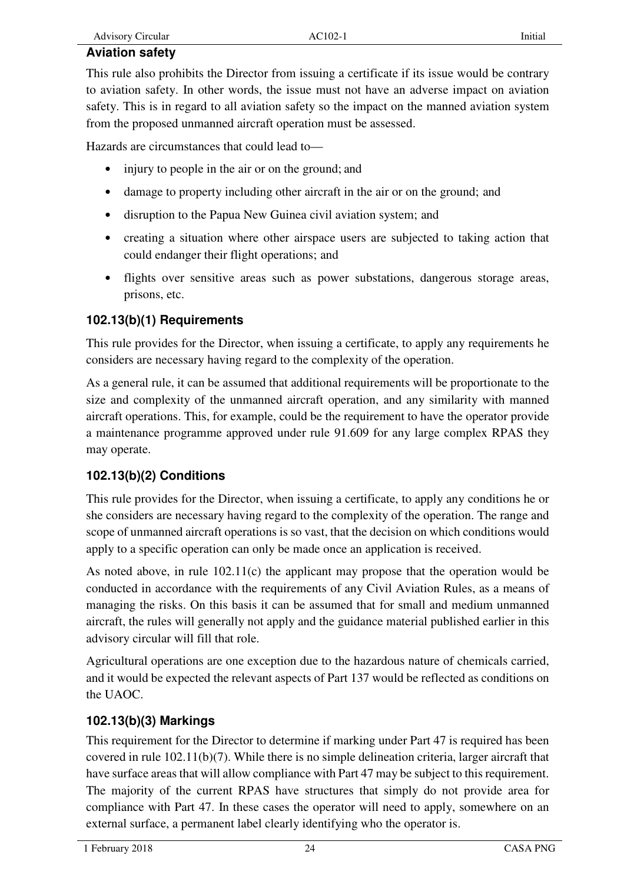## **Aviation safety**

This rule also prohibits the Director from issuing a certificate if its issue would be contrary to aviation safety. In other words, the issue must not have an adverse impact on aviation safety. This is in regard to all aviation safety so the impact on the manned aviation system from the proposed unmanned aircraft operation must be assessed.

Hazards are circumstances that could lead to—

- injury to people in the air or on the ground; and
- damage to property including other aircraft in the air or on the ground; and
- disruption to the Papua New Guinea civil aviation system; and
- creating a situation where other airspace users are subjected to taking action that could endanger their flight operations; and
- flights over sensitive areas such as power substations, dangerous storage areas, prisons, etc.

## **102.13(b)(1) Requirements**

This rule provides for the Director, when issuing a certificate, to apply any requirements he considers are necessary having regard to the complexity of the operation.

As a general rule, it can be assumed that additional requirements will be proportionate to the size and complexity of the unmanned aircraft operation, and any similarity with manned aircraft operations. This, for example, could be the requirement to have the operator provide a maintenance programme approved under rule 91.609 for any large complex RPAS they may operate.

## **102.13(b)(2) Conditions**

This rule provides for the Director, when issuing a certificate, to apply any conditions he or she considers are necessary having regard to the complexity of the operation. The range and scope of unmanned aircraft operations is so vast, that the decision on which conditions would apply to a specific operation can only be made once an application is received.

As noted above, in rule 102.11(c) the applicant may propose that the operation would be conducted in accordance with the requirements of any Civil Aviation Rules, as a means of managing the risks. On this basis it can be assumed that for small and medium unmanned aircraft, the rules will generally not apply and the guidance material published earlier in this advisory circular will fill that role.

Agricultural operations are one exception due to the hazardous nature of chemicals carried, and it would be expected the relevant aspects of Part 137 would be reflected as conditions on the UAOC.

## **102.13(b)(3) Markings**

This requirement for the Director to determine if marking under Part 47 is required has been covered in rule 102.11(b)(7). While there is no simple delineation criteria, larger aircraft that have surface areas that will allow compliance with Part 47 may be subject to this requirement. The majority of the current RPAS have structures that simply do not provide area for compliance with Part 47. In these cases the operator will need to apply, somewhere on an external surface, a permanent label clearly identifying who the operator is.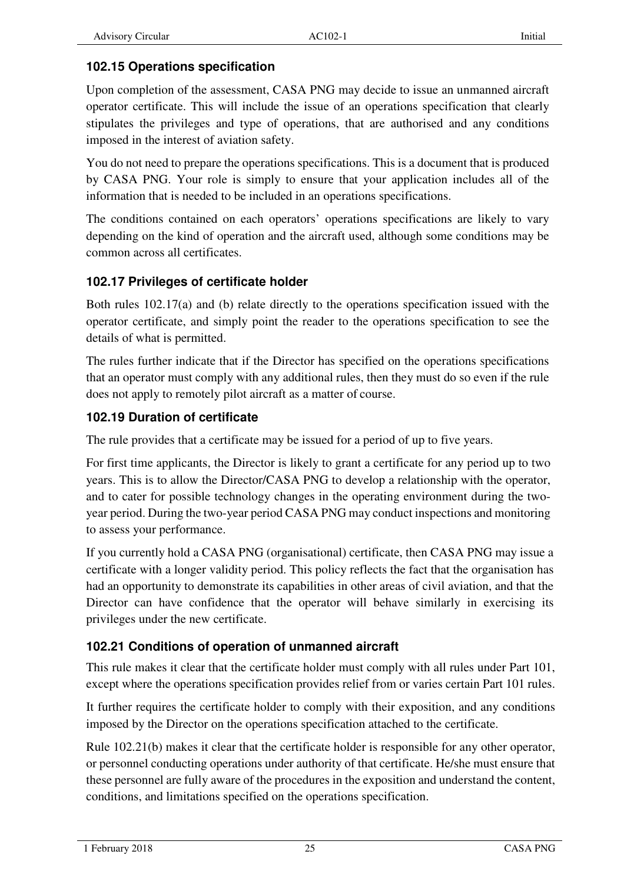#### **102.15 Operations specification**

Upon completion of the assessment, CASA PNG may decide to issue an unmanned aircraft operator certificate. This will include the issue of an operations specification that clearly stipulates the privileges and type of operations, that are authorised and any conditions imposed in the interest of aviation safety.

You do not need to prepare the operations specifications. This is a document that is produced by CASA PNG. Your role is simply to ensure that your application includes all of the information that is needed to be included in an operations specifications.

The conditions contained on each operators' operations specifications are likely to vary depending on the kind of operation and the aircraft used, although some conditions may be common across all certificates.

#### **102.17 Privileges of certificate holder**

Both rules 102.17(a) and (b) relate directly to the operations specification issued with the operator certificate, and simply point the reader to the operations specification to see the details of what is permitted.

The rules further indicate that if the Director has specified on the operations specifications that an operator must comply with any additional rules, then they must do so even if the rule does not apply to remotely pilot aircraft as a matter of course.

#### **102.19 Duration of certificate**

The rule provides that a certificate may be issued for a period of up to five years.

For first time applicants, the Director is likely to grant a certificate for any period up to two years. This is to allow the Director/CASA PNG to develop a relationship with the operator, and to cater for possible technology changes in the operating environment during the twoyear period. During the two-year period CASA PNG may conduct inspections and monitoring to assess your performance.

If you currently hold a CASA PNG (organisational) certificate, then CASA PNG may issue a certificate with a longer validity period. This policy reflects the fact that the organisation has had an opportunity to demonstrate its capabilities in other areas of civil aviation, and that the Director can have confidence that the operator will behave similarly in exercising its privileges under the new certificate.

#### **102.21 Conditions of operation of unmanned aircraft**

This rule makes it clear that the certificate holder must comply with all rules under Part 101, except where the operations specification provides relief from or varies certain Part 101 rules.

It further requires the certificate holder to comply with their exposition, and any conditions imposed by the Director on the operations specification attached to the certificate.

Rule 102.21(b) makes it clear that the certificate holder is responsible for any other operator, or personnel conducting operations under authority of that certificate. He/she must ensure that these personnel are fully aware of the procedures in the exposition and understand the content, conditions, and limitations specified on the operations specification.